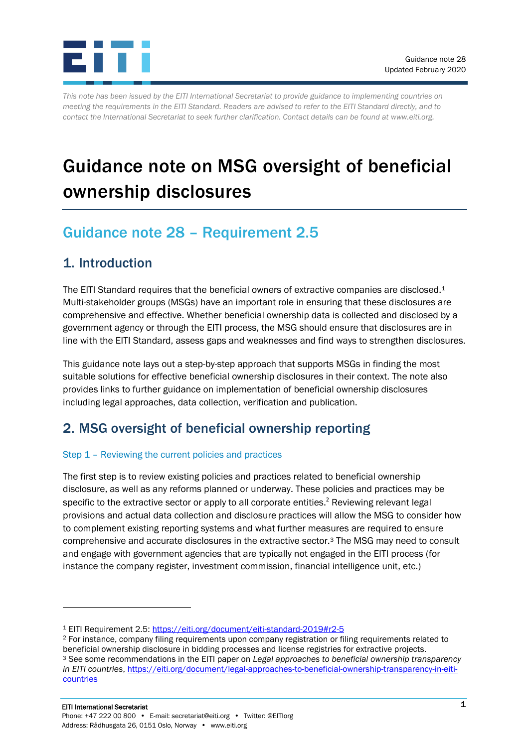

*This note has been issued by the EITI International Secretariat to provide guidance to implementing countries on meeting the requirements in the EITI Standard. Readers are advised to refer to the EITI Standard directly, and to contact the International Secretariat to seek further clarification. Contact details can be found at [www.eiti.org.](http://www.eiti.org/)*

# Guidance note on MSG oversight of beneficial ownership disclosures

## Guidance note 28 – Requirement 2.5

## 1. Introduction

The EITI Standard requires that the beneficial owners of extractive companies are disclosed.<sup>1</sup> Multi-stakeholder groups (MSGs) have an important role in ensuring that these disclosures are comprehensive and effective. Whether beneficial ownership data is collected and disclosed by a government agency or through the EITI process, the MSG should ensure that disclosures are in line with the EITI Standard, assess gaps and weaknesses and find ways to strengthen disclosures.

This guidance note lays out a step-by-step approach that supports MSGs in finding the most suitable solutions for effective beneficial ownership disclosures in their context. The note also provides links to further guidance on implementation of beneficial ownership disclosures including legal approaches, data collection, verification and publication.

## 2. MSG oversight of beneficial ownership reporting

### Step 1 – Reviewing the current policies and practices

The first step is to review existing policies and practices related to beneficial ownership disclosure, as well as any reforms planned or underway. These policies and practices may be specific to the extractive sector or apply to all corporate entities.<sup>2</sup> Reviewing relevant legal provisions and actual data collection and disclosure practices will allow the MSG to consider how to complement existing reporting systems and what further measures are required to ensure comprehensive and accurate disclosures in the extractive sector.<sup>3</sup> The MSG may need to consult and engage with government agencies that are typically not engaged in the EITI process (for instance the company register, investment commission, financial intelligence unit, etc.)

<sup>1</sup> EITI Requirement 2.5:<https://eiti.org/document/eiti-standard-2019#r2-5>

<sup>2</sup> For instance, company filing requirements upon company registration or filing requirements related to beneficial ownership disclosure in bidding processes and license registries for extractive projects. <sup>3</sup> See some recommendations in the EITI paper on *Legal approaches to beneficial ownership transparency in EITI countries*, [https://eiti.org/document/legal-approaches-to-beneficial-ownership-transparency-in-eiti](https://eiti.org/document/legal-approaches-to-beneficial-ownership-transparency-in-eiti-countries)**[countries](https://eiti.org/document/legal-approaches-to-beneficial-ownership-transparency-in-eiti-countries)**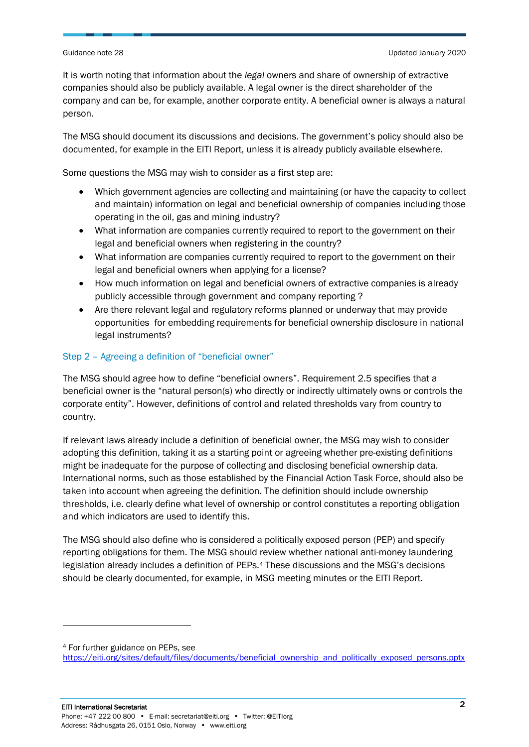It is worth noting that information about the *legal* owners and share of ownership of extractive companies should also be publicly available. A legal owner is the direct shareholder of the company and can be, for example, another corporate entity. A beneficial owner is always a natural person.

The MSG should document its discussions and decisions. The government's policy should also be documented, for example in the EITI Report, unless it is already publicly available elsewhere.

Some questions the MSG may wish to consider as a first step are:

- Which government agencies are collecting and maintaining (or have the capacity to collect and maintain) information on legal and beneficial ownership of companies including those operating in the oil, gas and mining industry?
- What information are companies currently required to report to the government on their legal and beneficial owners when registering in the country?
- What information are companies currently required to report to the government on their legal and beneficial owners when applying for a license?
- How much information on legal and beneficial owners of extractive companies is already publicly accessible through government and company reporting ?
- Are there relevant legal and regulatory reforms planned or underway that may provide opportunities for embedding requirements for beneficial ownership disclosure in national legal instruments?

### Step 2 – Agreeing a definition of "beneficial owner"

The MSG should agree how to define "beneficial owners". Requirement 2.5 specifies that a beneficial owner is the "natural person(s) who directly or indirectly ultimately owns or controls the corporate entity". However, definitions of control and related thresholds vary from country to country.

If relevant laws already include a definition of beneficial owner, the MSG may wish to consider adopting this definition, taking it as a starting point or agreeing whether pre-existing definitions might be inadequate for the purpose of collecting and disclosing beneficial ownership data. International norms, such as those established by the Financial Action Task Force, should also be taken into account when agreeing the definition. The definition should include ownership thresholds, i.e. clearly define what level of ownership or control constitutes a reporting obligation and which indicators are used to identify this.

The MSG should also define who is considered a politically exposed person (PEP) and specify reporting obligations for them. The MSG should review whether national anti-money laundering legislation already includes a definition of PEPs.<sup>4</sup> These discussions and the MSG's decisions should be clearly documented, for example, in MSG meeting minutes or the EITI Report.

<sup>4</sup> For further guidance on PEPs, see

[https://eiti.org/sites/default/files/documents/beneficial\\_ownership\\_and\\_politically\\_exposed\\_persons.pptx](https://eiti.org/sites/default/files/documents/beneficial_ownership_and_politically_exposed_persons.pptx)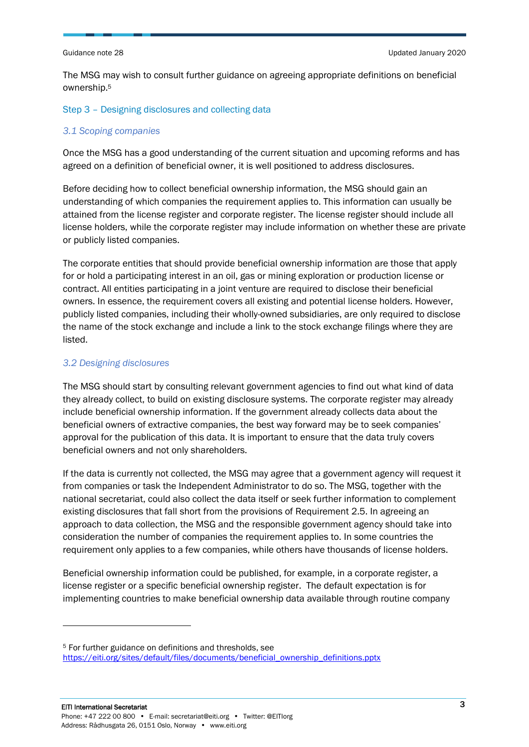The MSG may wish to consult further guidance on agreeing appropriate definitions on beneficial ownership.<sup>5</sup>

#### Step 3 – Designing disclosures and collecting data

#### *3.1 Scoping companies*

Once the MSG has a good understanding of the current situation and upcoming reforms and has agreed on a definition of beneficial owner, it is well positioned to address disclosures.

Before deciding how to collect beneficial ownership information, the MSG should gain an understanding of which companies the requirement applies to. This information can usually be attained from the license register and corporate register. The license register should include all license holders, while the corporate register may include information on whether these are private or publicly listed companies.

The corporate entities that should provide beneficial ownership information are those that apply for or hold a participating interest in an oil, gas or mining exploration or production license or contract. All entities participating in a joint venture are required to disclose their beneficial owners. In essence, the requirement covers all existing and potential license holders. However, publicly listed companies, including their wholly-owned subsidiaries, are only required to disclose the name of the stock exchange and include a link to the stock exchange filings where they are listed.

#### *3.2 Designing disclosures*

The MSG should start by consulting relevant government agencies to find out what kind of data they already collect, to build on existing disclosure systems. The corporate register may already include beneficial ownership information. If the government already collects data about the beneficial owners of extractive companies, the best way forward may be to seek companies' approval for the publication of this data. It is important to ensure that the data truly covers beneficial owners and not only shareholders.

If the data is currently not collected, the MSG may agree that a government agency will request it from companies or task the Independent Administrator to do so. The MSG, together with the national secretariat, could also collect the data itself or seek further information to complement existing disclosures that fall short from the provisions of Requirement 2.5. In agreeing an approach to data collection, the MSG and the responsible government agency should take into consideration the number of companies the requirement applies to. In some countries the requirement only applies to a few companies, while others have thousands of license holders.

Beneficial ownership information could be published, for example, in a corporate register, a license register or a specific beneficial ownership register. The default expectation is for implementing countries to make beneficial ownership data available through routine company

<sup>5</sup> For further guidance on definitions and thresholds, see [https://eiti.org/sites/default/files/documents/beneficial\\_ownership\\_definitions.pptx](https://eiti.org/sites/default/files/documents/beneficial_ownership_definitions.pptx)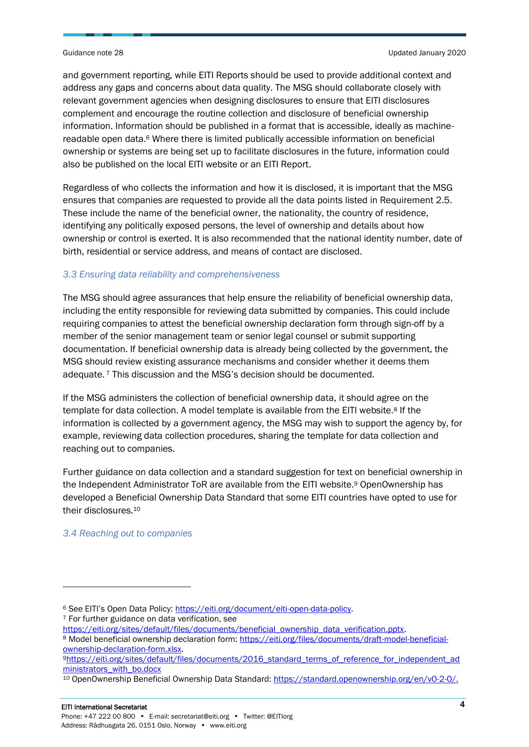and government reporting, while EITI Reports should be used to provide additional context and address any gaps and concerns about data quality. The MSG should collaborate closely with relevant government agencies when designing disclosures to ensure that EITI disclosures complement and encourage the routine collection and disclosure of beneficial ownership information. Information should be published in a format that is accessible, ideally as machinereadable open data.<sup>6</sup> Where there is limited publically accessible information on beneficial ownership or systems are being set up to facilitate disclosures in the future, information could also be published on the local EITI website or an EITI Report.

Regardless of who collects the information and how it is disclosed, it is important that the MSG ensures that companies are requested to provide all the data points listed in Requirement 2.5. These include the name of the beneficial owner, the nationality, the country of residence, identifying any politically exposed persons, the level of ownership and details about how ownership or control is exerted. It is also recommended that the national identity number, date of birth, residential or service address, and means of contact are disclosed.

### *3.3 Ensuring data reliability and comprehensiveness*

The MSG should agree assurances that help ensure the reliability of beneficial ownership data, including the entity responsible for reviewing data submitted by companies. This could include requiring companies to attest the beneficial ownership declaration form through sign-off by a member of the senior management team or senior legal counsel or submit supporting documentation. If beneficial ownership data is already being collected by the government, the MSG should review existing assurance mechanisms and consider whether it deems them adequate. <sup>7</sup> This discussion and the MSG's decision should be documented.

If the MSG administers the collection of beneficial ownership data, it should agree on the template for data collection. A model template is available from the EITI website.<sup>8</sup> If the information is collected by a government agency, the MSG may wish to support the agency by, for example, reviewing data collection procedures, sharing the template for data collection and reaching out to companies.

Further guidance on data collection and a standard suggestion for text on beneficial ownership in the Independent Administrator ToR are available from the EITI website.<sup>9</sup> OpenOwnership has developed a Beneficial Ownership Data Standard that some EITI countries have opted to use for their disclosures.<sup>10</sup>

#### *3.4 Reaching out to companies*

[https://eiti.org/sites/default/files/documents/beneficial\\_ownership\\_data\\_verification.pptx.](https://eiti.org/sites/default/files/documents/beneficial_ownership_data_verification.pptx)

<sup>6</sup> See EITI's Open Data Policy: https://eiti.org/document/eiti-open-data-policy. <sup>7</sup> For further guidance on data verification, see

<sup>8</sup> Model beneficial ownership declaration form: [https://eiti.org/files/documents/draft-model-beneficial](https://eiti.org/files/documents/draft-model-beneficial-ownership-declaration-form.xlsx)[ownership-declaration-form.xlsx.](https://eiti.org/files/documents/draft-model-beneficial-ownership-declaration-form.xlsx)

<sup>9</sup>[https://eiti.org/sites/default/files/documents/2016\\_standard\\_terms\\_of\\_reference\\_for\\_independent\\_ad](https://eiti.org/sites/default/files/documents/2016_standard_terms_of_reference_for_independent_administrators_with_bo.docx) [ministrators\\_with\\_bo.docx](https://eiti.org/sites/default/files/documents/2016_standard_terms_of_reference_for_independent_administrators_with_bo.docx)

<sup>10</sup> OpenOwnership Beneficial Ownership Data Standard: [https://standard.openownership.org/en/v0-2-0/.](https://standard.openownership.org/en/v0-2-0/)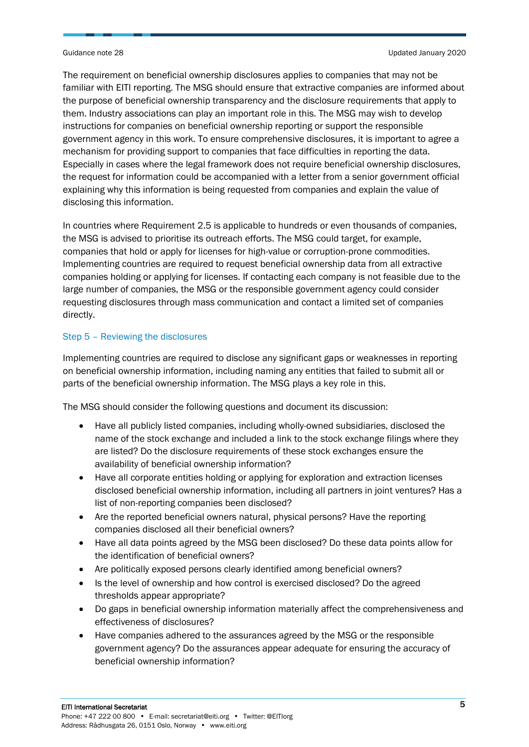Guidance note 28 Updated January 2020

The requirement on beneficial ownership disclosures applies to companies that may not be familiar with EITI reporting. The MSG should ensure that extractive companies are informed about the purpose of beneficial ownership transparency and the disclosure requirements that apply to them. Industry associations can play an important role in this. The MSG may wish to develop instructions for companies on beneficial ownership reporting or support the responsible government agency in this work. To ensure comprehensive disclosures, it is important to agree a mechanism for providing support to companies that face difficulties in reporting the data. Especially in cases where the legal framework does not require beneficial ownership disclosures, the request for information could be accompanied with a letter from a senior government official explaining why this information is being requested from companies and explain the value of disclosing this information.

In countries where Requirement 2.5 is applicable to hundreds or even thousands of companies, the MSG is advised to prioritise its outreach efforts. The MSG could target, for example, companies that hold or apply for licenses for high-value or corruption-prone commodities. Implementing countries are required to request beneficial ownership data from all extractive companies holding or applying for licenses. If contacting each company is not feasible due to the large number of companies, the MSG or the responsible government agency could consider requesting disclosures through mass communication and contact a limited set of companies directly.

### Step 5 – Reviewing the disclosures

Implementing countries are required to disclose any significant gaps or weaknesses in reporting on beneficial ownership information, including naming any entities that failed to submit all or parts of the beneficial ownership information. The MSG plays a key role in this.

The MSG should consider the following questions and document its discussion:

- Have all publicly listed companies, including wholly-owned subsidiaries, disclosed the name of the stock exchange and included a link to the stock exchange filings where they are listed? Do the disclosure requirements of these stock exchanges ensure the availability of beneficial ownership information?
- Have all corporate entities holding or applying for exploration and extraction licenses disclosed beneficial ownership information, including all partners in joint ventures? Has a list of non-reporting companies been disclosed?
- Are the reported beneficial owners natural, physical persons? Have the reporting companies disclosed all their beneficial owners?
- Have all data points agreed by the MSG been disclosed? Do these data points allow for the identification of beneficial owners?
- Are politically exposed persons clearly identified among beneficial owners?
- Is the level of ownership and how control is exercised disclosed? Do the agreed thresholds appear appropriate?
- Do gaps in beneficial ownership information materially affect the comprehensiveness and effectiveness of disclosures?
- Have companies adhered to the assurances agreed by the MSG or the responsible government agency? Do the assurances appear adequate for ensuring the accuracy of beneficial ownership information?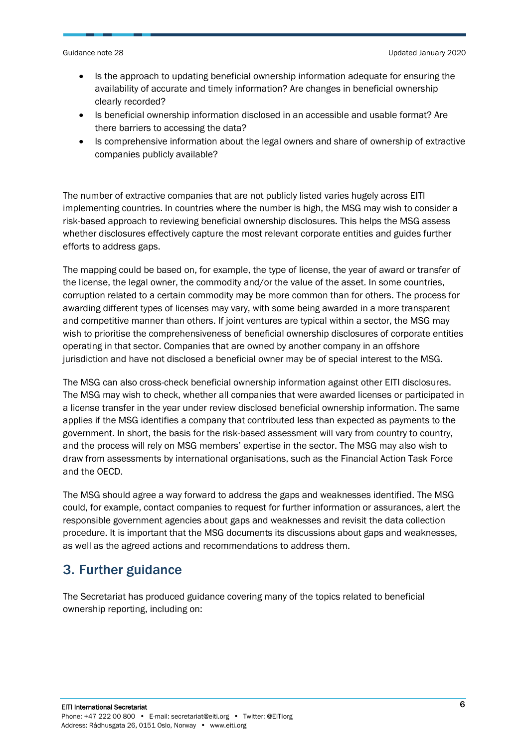- Is the approach to updating beneficial ownership information adequate for ensuring the availability of accurate and timely information? Are changes in beneficial ownership clearly recorded?
- Is beneficial ownership information disclosed in an accessible and usable format? Are there barriers to accessing the data?
- Is comprehensive information about the legal owners and share of ownership of extractive companies publicly available?

The number of extractive companies that are not publicly listed varies hugely across EITI implementing countries. In countries where the number is high, the MSG may wish to consider a risk-based approach to reviewing beneficial ownership disclosures. This helps the MSG assess whether disclosures effectively capture the most relevant corporate entities and guides further efforts to address gaps.

The mapping could be based on, for example, the type of license, the year of award or transfer of the license, the legal owner, the commodity and/or the value of the asset. In some countries, corruption related to a certain commodity may be more common than for others. The process for awarding different types of licenses may vary, with some being awarded in a more transparent and competitive manner than others. If joint ventures are typical within a sector, the MSG may wish to prioritise the comprehensiveness of beneficial ownership disclosures of corporate entities operating in that sector. Companies that are owned by another company in an offshore jurisdiction and have not disclosed a beneficial owner may be of special interest to the MSG.

The MSG can also cross-check beneficial ownership information against other EITI disclosures. The MSG may wish to check, whether all companies that were awarded licenses or participated in a license transfer in the year under review disclosed beneficial ownership information. The same applies if the MSG identifies a company that contributed less than expected as payments to the government. In short, the basis for the risk-based assessment will vary from country to country, and the process will rely on MSG members' expertise in the sector. The MSG may also wish to draw from assessments by international organisations, such as the Financial Action Task Force and the OECD.

The MSG should agree a way forward to address the gaps and weaknesses identified. The MSG could, for example, contact companies to request for further information or assurances, alert the responsible government agencies about gaps and weaknesses and revisit the data collection procedure. It is important that the MSG documents its discussions about gaps and weaknesses, as well as the agreed actions and recommendations to address them.

## 3. Further guidance

The Secretariat has produced guidance covering many of the topics related to beneficial ownership reporting, including on: